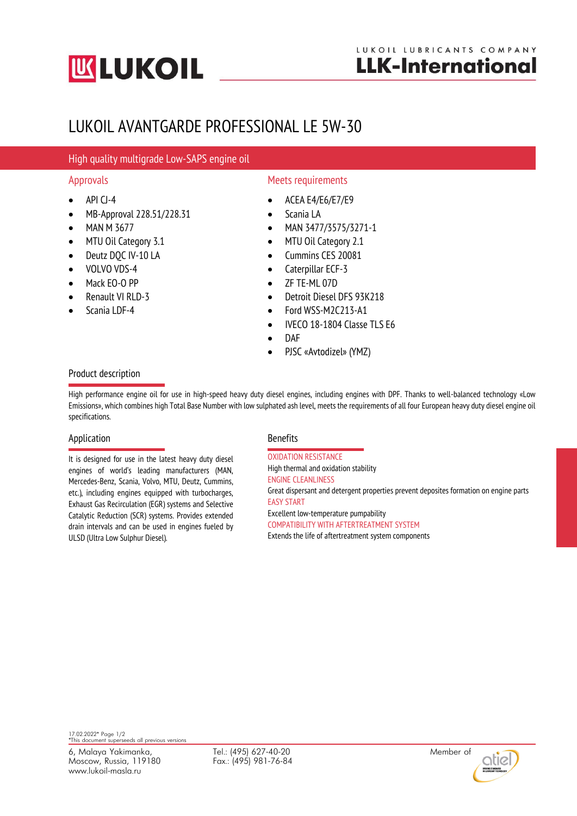# **UK LUKOIL**

## LUKOIL AVANTGARDE PROFESSIONAL LE 5W-30

### High quality multigrade Low-SAPS engine oil

- $\bullet$  API CJ-4
- MB-Approval 228.51/228.31
- MAN M 3677
- MTU Oil Category 3.1
- Deutz DOC IV-10 LA
- VOLVO VDS-4
- Mack EO-O PP
- Renault VI RLD-3
- Scania LDF-4

### Approvals **Approvals** Approvals **Meets** requirements

- ACEA E4/E6/E7/E9
- Scania LA
- MAN 3477/3575/3271-1
- MTU Oil Category 2.1
- Cummins CES 20081
- Caterpillar ECF-3
- ZF TE-ML 07D
- Detroit Diesel DFS 93K218
- Ford WSS-M2C213-A1
- IVECO 18-1804 Classe TLS E6
- DAF
- PJSC «Avtodizel» (YMZ)

#### Product description

High performance engine oil for use in high-speed heavy duty diesel engines, including engines with DPF. Thanks to well-balanced technology «Low Emissions», which combines high Total Base Number with low sulphated ash level, meets the requirements of all four European heavy duty diesel engine oil specifications.

#### Application **Benefits**

It is designed for use in the latest heavy duty diesel engines of world's leading manufacturers (MAN, Mercedes-Benz, Scania, Volvo, MTU, Deutz, Cummins, etc.), including engines equipped with turbocharges, Exhaust Gas Recirculation (EGR) systems and Selective Catalytic Reduction (SCR) systems. Provides extended drain intervals and can be used in engines fueled by ULSD (Ultra Low Sulphur Diesel).

OXIDATION RESISTANCE High thermal and oxidation stability ENGINE CLEANLINESS Great dispersant and detergent properties prevent deposites formation on engine parts EASY START Excellent low-temperature pumpability COMPATIBILITY WITH AFTERTREATMENT SYSTEM Extends the life of aftertreatment system components